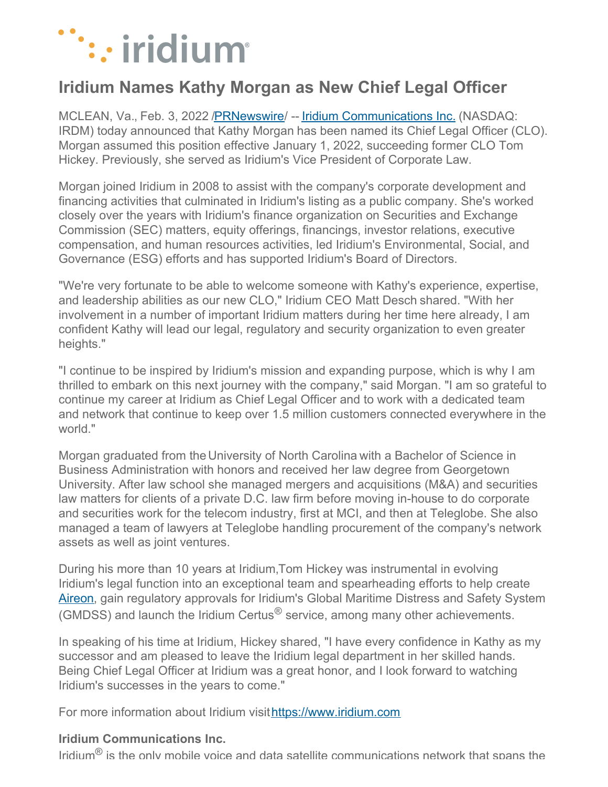

## **Iridium Names Kathy Morgan as New Chief Legal Officer**

MCLEAN, Va., Feb. 3, 2022 [/PRNewswire](http://www.prnewswire.com/)/ -- Iridium [Communications](https://c212.net/c/link/?t=0&l=en&o=3432453-1&h=4082281798&u=https%3A%2F%2Fwww.iridium.com%2F&a=Iridium+Communications+Inc.) Inc. (NASDAQ: IRDM) today announced that Kathy Morgan has been named its Chief Legal Officer (CLO). Morgan assumed this position effective January 1, 2022, succeeding former CLO Tom Hickey. Previously, she served as Iridium's Vice President of Corporate Law.

Morgan joined Iridium in 2008 to assist with the company's corporate development and financing activities that culminated in Iridium's listing as a public company. She's worked closely over the years with Iridium's finance organization on Securities and Exchange Commission (SEC) matters, equity offerings, financings, investor relations, executive compensation, and human resources activities, led Iridium's Environmental, Social, and Governance (ESG) efforts and has supported Iridium's Board of Directors.

"We're very fortunate to be able to welcome someone with Kathy's experience, expertise, and leadership abilities as our new CLO," Iridium CEO Matt Desch shared. "With her involvement in a number of important Iridium matters during her time here already, I am confident Kathy will lead our legal, regulatory and security organization to even greater heights."

"I continue to be inspired by Iridium's mission and expanding purpose, which is why I am thrilled to embark on this next journey with the company," said Morgan. "I am so grateful to continue my career at Iridium as Chief Legal Officer and to work with a dedicated team and network that continue to keep over 1.5 million customers connected everywhere in the world."

Morgan graduated from the University of North Carolina with a Bachelor of Science in Business Administration with honors and received her law degree from Georgetown University. After law school she managed mergers and acquisitions (M&A) and securities law matters for clients of a private D.C. law firm before moving in-house to do corporate and securities work for the telecom industry, first at MCI, and then at Teleglobe. She also managed a team of lawyers at Teleglobe handling procurement of the company's network assets as well as joint ventures.

During his more than 10 years at Iridium,Tom Hickey was instrumental in evolving Iridium's legal function into an exceptional team and spearheading efforts to help create [Aireon](https://c212.net/c/link/?t=0&l=en&o=3432453-1&h=3171977685&u=https%3A%2F%2Faireon.com%2F&a=Aireon), gain regulatory approvals for Iridium's Global Maritime Distress and Safety System (GMDSS) and launch the Iridium Certus $^{\circledR}$  service, among many other achievements.

In speaking of his time at Iridium, Hickey shared, "I have every confidence in Kathy as my successor and am pleased to leave the Iridium legal department in her skilled hands. Being Chief Legal Officer at Iridium was a great honor, and I look forward to watching Iridium's successes in the years to come."

For more information about Iridium visit[https://www.iridium.com](https://c212.net/c/link/?t=0&l=en&o=3432453-1&h=3371398067&u=https%3A%2F%2Fwww.iridium.com%2F&a=https%3A%2F%2Fwww.iridium.com)

## **Iridium Communications Inc.**

Iridium<sup>®</sup> is the only mobile voice and data satellite communications network that spans the